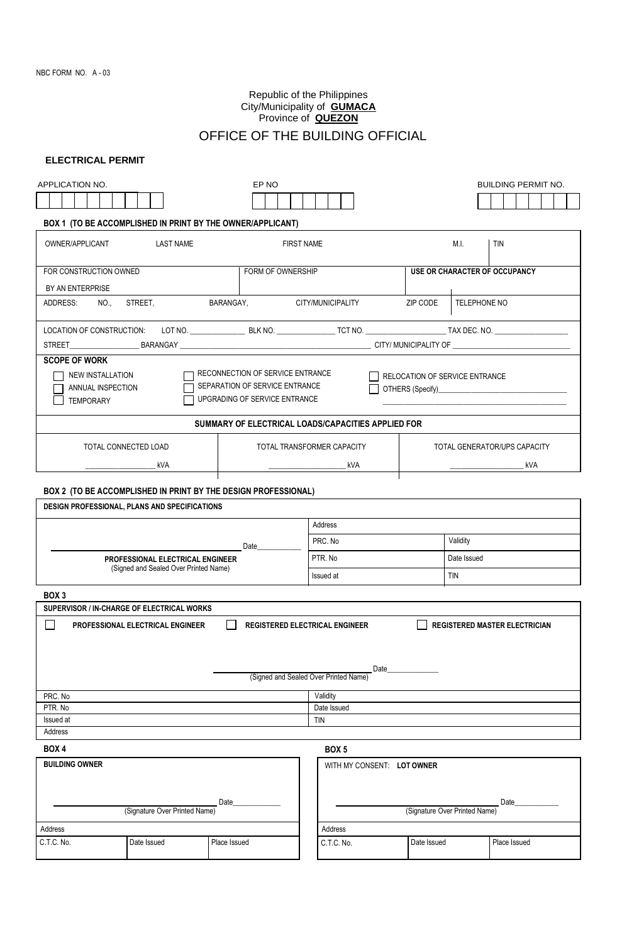# Republic of the Philippines City/Municipality of **GUMACA** Province of **QUEZON**

# OFFICE OF THE BUILDING OFFICIAL

## **ELECTRICAL PERMIT**

| APPLICATION NO.                                                                                                                                                                                                            |                                       |                                                                |                               | <b>BUILDING PERMIT NO.</b>    |                              |  |  |  |  |
|----------------------------------------------------------------------------------------------------------------------------------------------------------------------------------------------------------------------------|---------------------------------------|----------------------------------------------------------------|-------------------------------|-------------------------------|------------------------------|--|--|--|--|
|                                                                                                                                                                                                                            |                                       |                                                                |                               |                               |                              |  |  |  |  |
| BOX 1 (TO BE ACCOMPLISHED IN PRINT BY THE OWNER/APPLICANT)                                                                                                                                                                 |                                       |                                                                |                               |                               |                              |  |  |  |  |
| OWNER/APPLICANT                                                                                                                                                                                                            | <b>LAST NAME</b>                      |                                                                | <b>FIRST NAME</b>             |                               | M.I.<br><b>TIN</b>           |  |  |  |  |
| FOR CONSTRUCTION OWNED<br>FORM OF OWNERSHIP                                                                                                                                                                                |                                       |                                                                |                               | USE OR CHARACTER OF OCCUPANCY |                              |  |  |  |  |
| BY AN ENTERPRISE                                                                                                                                                                                                           |                                       |                                                                |                               |                               |                              |  |  |  |  |
| ADDRESS:<br>NO.,                                                                                                                                                                                                           | STREET,                               | BARANGAY,                                                      | CITY/MUNICIPALITY             | TELEPHONE NO<br>ZIP CODE      |                              |  |  |  |  |
|                                                                                                                                                                                                                            |                                       |                                                                |                               |                               |                              |  |  |  |  |
|                                                                                                                                                                                                                            |                                       |                                                                |                               |                               |                              |  |  |  |  |
| <b>SCOPE OF WORK</b><br>RECONNECTION OF SERVICE ENTRANCE<br>NEW INSTALLATION<br>RELOCATION OF SERVICE ENTRANCE<br>SEPARATION OF SERVICE ENTRANCE<br>ANNUAL INSPECTION<br>UPGRADING OF SERVICE ENTRANCE<br><b>TEMPORARY</b> |                                       |                                                                |                               |                               |                              |  |  |  |  |
|                                                                                                                                                                                                                            |                                       | SUMMARY OF ELECTRICAL LOADS/CAPACITIES APPLIED FOR             |                               |                               |                              |  |  |  |  |
| TOTAL CONNECTED LOAD                                                                                                                                                                                                       |                                       |                                                                | TOTAL TRANSFORMER CAPACITY    |                               | TOTAL GENERATOR/UPS CAPACITY |  |  |  |  |
|                                                                                                                                                                                                                            | kVA                                   |                                                                | kVA                           |                               | kVA                          |  |  |  |  |
|                                                                                                                                                                                                                            |                                       | BOX 2 (TO BE ACCOMPLISHED IN PRINT BY THE DESIGN PROFESSIONAL) |                               |                               |                              |  |  |  |  |
| DESIGN PROFESSIONAL, PLANS AND SPECIFICATIONS                                                                                                                                                                              |                                       |                                                                |                               |                               |                              |  |  |  |  |
|                                                                                                                                                                                                                            |                                       |                                                                | Address                       |                               |                              |  |  |  |  |
| Date<br>PROFESSIONAL ELECTRICAL ENGINEER                                                                                                                                                                                   |                                       |                                                                | PRC. No                       |                               | Validity                     |  |  |  |  |
|                                                                                                                                                                                                                            |                                       |                                                                | PTR. No                       |                               | Date Issued                  |  |  |  |  |
|                                                                                                                                                                                                                            | (Signed and Sealed Over Printed Name) |                                                                | Issued at                     |                               | <b>TIN</b>                   |  |  |  |  |
| BOX <sub>3</sub>                                                                                                                                                                                                           |                                       |                                                                |                               |                               |                              |  |  |  |  |
| SUPERVISOR / IN-CHARGE OF ELECTRICAL WORKS                                                                                                                                                                                 |                                       |                                                                |                               |                               |                              |  |  |  |  |
| REGISTERED ELECTRICAL ENGINEER<br><b>REGISTERED MASTER ELECTRICIAN</b><br>PROFESSIONAL ELECTRICAL ENGINEER                                                                                                                 |                                       |                                                                |                               |                               |                              |  |  |  |  |
| Date<br>(Signed and Sealed Over Printed Name)                                                                                                                                                                              |                                       |                                                                |                               |                               |                              |  |  |  |  |
| PRC. No                                                                                                                                                                                                                    |                                       |                                                                | Validity                      |                               |                              |  |  |  |  |
| PTR. No                                                                                                                                                                                                                    |                                       |                                                                | Date Issued                   |                               |                              |  |  |  |  |
| Issued at<br>Address                                                                                                                                                                                                       | TIN                                   |                                                                |                               |                               |                              |  |  |  |  |
| <b>BOX 4</b>                                                                                                                                                                                                               |                                       |                                                                | BOX <sub>5</sub>              |                               |                              |  |  |  |  |
| <b>BUILDING OWNER</b>                                                                                                                                                                                                      |                                       |                                                                |                               |                               |                              |  |  |  |  |
| WITH MY CONSENT: LOT OWNER                                                                                                                                                                                                 |                                       |                                                                |                               |                               |                              |  |  |  |  |
|                                                                                                                                                                                                                            | (Signature Over Printed Name)         | Date                                                           | Date                          |                               |                              |  |  |  |  |
|                                                                                                                                                                                                                            |                                       |                                                                | (Signature Over Printed Name) |                               |                              |  |  |  |  |
| Address<br>C.T.C. No.                                                                                                                                                                                                      | Date Issued                           | Place Issued                                                   | Address<br>C.T.C. No.         | Date Issued                   | Place Issued                 |  |  |  |  |
|                                                                                                                                                                                                                            |                                       |                                                                |                               |                               |                              |  |  |  |  |